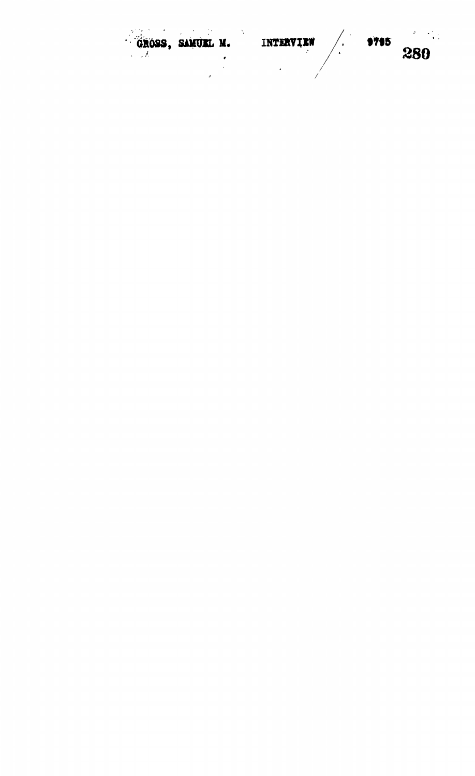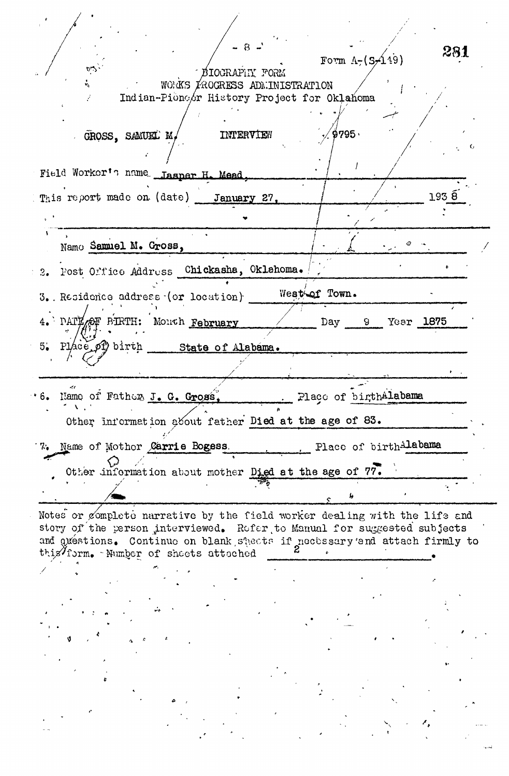| $\sqrt{9795}$<br>INTERVIEW<br>GROSS, SAMUEL M,<br>Field Worker's name Jasper H. Mead,<br>1935<br>This report made on (date) January 27,<br>Name Samuel M. Gross,<br>Post Office Address Chickasha, Oklahoma.<br>3.1<br>West of Town.<br>3. Residence address (or location)<br>4. PATE OF BIRTH: Month February<br>Day 9<br>Year 1875<br>Place of birth State of Alabama.<br>$5^{\circ}$<br>Place of birthAlabama<br>Name of Father J. G. Gross,<br>Other information about father Died at the age of 83.<br>Place of birthAlabama<br>7. Name of Mother Carrie Bogess.<br>Other information about mother Died at the age of 77.<br>Notes or gomplete narrative by the field worker dealing with the life and<br>story of the person interviewed. Refer to Manual for suggested subjects<br>and questions. Continue on blank sheets if necessary and attach firmly to<br>this/form. - Number of sheets attached | 281<br>Form $\Lambda_{7}(S/119)$ | $\mathcal{D}_{\mathbf{L}}$<br>BIOGRAPHY FORM<br>WORKS FROGRESS ADMINISTRATION<br>Indian-Pioncor History Project for Oklahoma |
|---------------------------------------------------------------------------------------------------------------------------------------------------------------------------------------------------------------------------------------------------------------------------------------------------------------------------------------------------------------------------------------------------------------------------------------------------------------------------------------------------------------------------------------------------------------------------------------------------------------------------------------------------------------------------------------------------------------------------------------------------------------------------------------------------------------------------------------------------------------------------------------------------------------|----------------------------------|------------------------------------------------------------------------------------------------------------------------------|
|                                                                                                                                                                                                                                                                                                                                                                                                                                                                                                                                                                                                                                                                                                                                                                                                                                                                                                               |                                  |                                                                                                                              |
|                                                                                                                                                                                                                                                                                                                                                                                                                                                                                                                                                                                                                                                                                                                                                                                                                                                                                                               |                                  |                                                                                                                              |
|                                                                                                                                                                                                                                                                                                                                                                                                                                                                                                                                                                                                                                                                                                                                                                                                                                                                                                               |                                  |                                                                                                                              |
|                                                                                                                                                                                                                                                                                                                                                                                                                                                                                                                                                                                                                                                                                                                                                                                                                                                                                                               |                                  |                                                                                                                              |
|                                                                                                                                                                                                                                                                                                                                                                                                                                                                                                                                                                                                                                                                                                                                                                                                                                                                                                               |                                  |                                                                                                                              |
|                                                                                                                                                                                                                                                                                                                                                                                                                                                                                                                                                                                                                                                                                                                                                                                                                                                                                                               |                                  |                                                                                                                              |
|                                                                                                                                                                                                                                                                                                                                                                                                                                                                                                                                                                                                                                                                                                                                                                                                                                                                                                               |                                  |                                                                                                                              |
|                                                                                                                                                                                                                                                                                                                                                                                                                                                                                                                                                                                                                                                                                                                                                                                                                                                                                                               |                                  |                                                                                                                              |
|                                                                                                                                                                                                                                                                                                                                                                                                                                                                                                                                                                                                                                                                                                                                                                                                                                                                                                               |                                  |                                                                                                                              |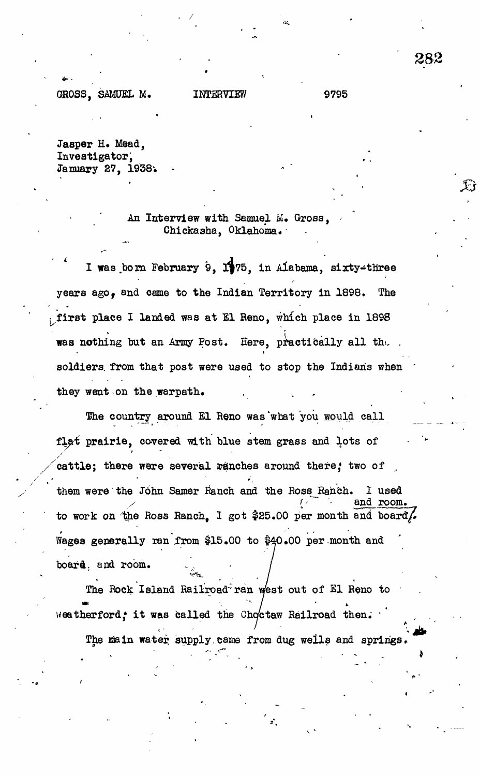套

GROSS, SAMUEL M. INTERVIEW 9795

Jasper H. Mead, Investigator, January 27, 1958;

## An Interview with Samuel M. Gross, Chickasha, Oklahoma.

I was born February 9,  $1$ 175, in Alabama, sixty-three years ago, and came to the Indian Territory in 1898. The first place I landed was at El Reno, which place in 1898 was nothing but an Army Post. Here, practically all the soldiers, from that post were used to stop the Indians when they went on the warpath.

The country around El Reno was what you would call *tl&i* prairie, covered with blue stem grass and lots of cattle; there were several panches around there; two of them were the John Samer Ranch and the Ross Ranch. I used *y* and room. to work on the Ross Ranch, I got \$25.00 per month and board. Wages generally ran from \$15.00 to \$40.00 per month and board, and room.

The Rock Island Railroad ran west out of El Reno to  $\left| \frac{1}{2} \right|$ we enerror  $n^2$  is was called the choceas particle then.

The main water supply came from dug wells and springs. The intervals water supply came from dug wells and springs  $\mathcal{L}$